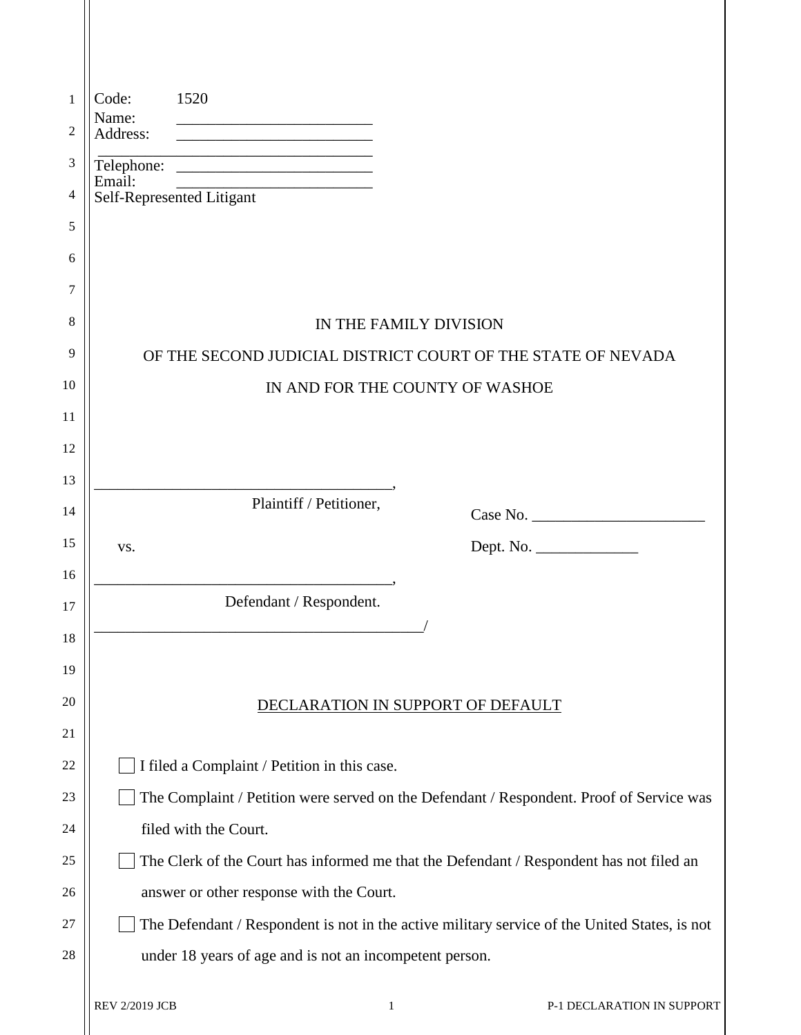| 1  | 1520<br>Code:                                                                                                                             |
|----|-------------------------------------------------------------------------------------------------------------------------------------------|
| 2  | Name:<br>Address:<br><u> 1989 - Johann John Stone, markin fan it ferstjer fan it ferstjer fan it ferstjer fan it ferstjer fan it fers</u> |
| 3  |                                                                                                                                           |
| 4  | Email:<br>Email:<br>Self-Represented Litigant                                                                                             |
| 5  |                                                                                                                                           |
| 6  |                                                                                                                                           |
| 7  |                                                                                                                                           |
| 8  | IN THE FAMILY DIVISION                                                                                                                    |
| 9  | OF THE SECOND JUDICIAL DISTRICT COURT OF THE STATE OF NEVADA                                                                              |
| 10 | IN AND FOR THE COUNTY OF WASHOE                                                                                                           |
| 11 |                                                                                                                                           |
| 12 |                                                                                                                                           |
| 13 |                                                                                                                                           |
| 14 | Plaintiff / Petitioner,                                                                                                                   |
|    |                                                                                                                                           |
| 15 | Dept. No.<br>VS.                                                                                                                          |
| 16 |                                                                                                                                           |
| 17 | Defendant / Respondent.                                                                                                                   |
| 18 |                                                                                                                                           |
| 19 |                                                                                                                                           |
| 20 | DECLARATION IN SUPPORT OF DEFAULT                                                                                                         |
| 21 |                                                                                                                                           |
| 22 | I filed a Complaint / Petition in this case.                                                                                              |
| 23 | The Complaint / Petition were served on the Defendant / Respondent. Proof of Service was                                                  |
| 24 | filed with the Court.                                                                                                                     |
| 25 | The Clerk of the Court has informed me that the Defendant / Respondent has not filed an                                                   |
| 26 | answer or other response with the Court.                                                                                                  |
| 27 | The Defendant / Respondent is not in the active military service of the United States, is not                                             |
| 28 | under 18 years of age and is not an incompetent person.                                                                                   |